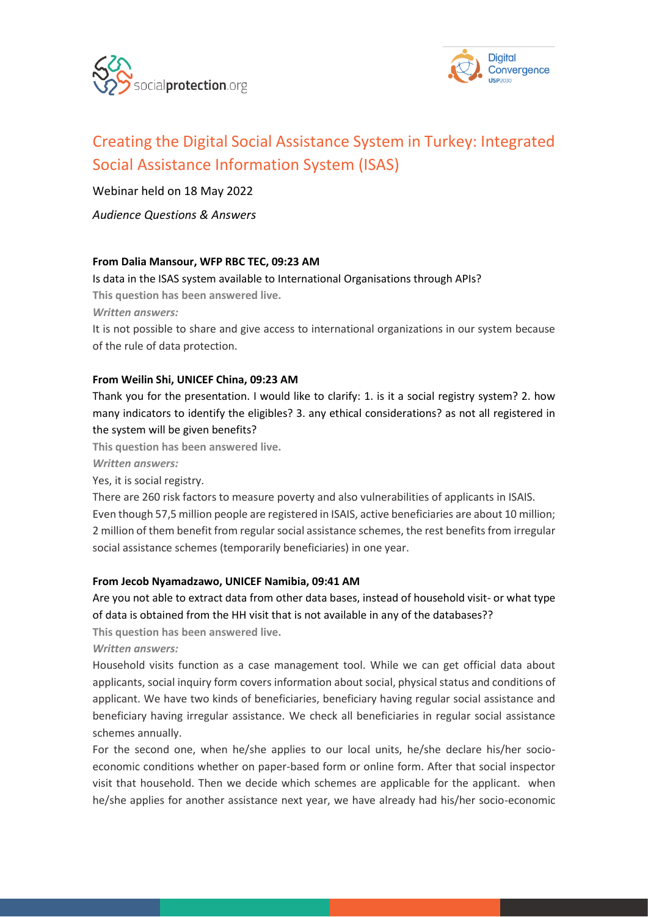



# [Creating the Digital Social Assistance System in Turkey: Integrated](https://socialprotection.org/creating-digital-social-assistance-system-turkey-integrated-social-assistance-information-system)  [Social Assistance Information System \(ISAS\)](https://socialprotection.org/creating-digital-social-assistance-system-turkey-integrated-social-assistance-information-system)

Webinar held on 18 May 2022

*Audience Questions & Answers*

#### **From Dalia Mansour, WFP RBC TEC, 09:23 AM**

Is data in the ISAS system available to International Organisations through APIs?

**This question has been answered live.**

*Written answers:*

It is not possible to share and give access to international organizations in our system because of the rule of data protection.

#### **From Weilin Shi, UNICEF China, 09:23 AM**

Thank you for the presentation. I would like to clarify: 1. is it a social registry system? 2. how many indicators to identify the eligibles? 3. any ethical considerations? as not all registered in the system will be given benefits?

**This question has been answered live.**

*Written answers:*

Yes, it is social registry.

There are 260 risk factors to measure poverty and also vulnerabilities of applicants in ISAIS. Even though 57,5 million people are registered in ISAIS, active beneficiaries are about 10 million; 2 million of them benefit from regular social assistance schemes, the rest benefits from irregular social assistance schemes (temporarily beneficiaries) in one year.

#### **From Jecob Nyamadzawo, UNICEF Namibia, 09:41 AM**

Are you not able to extract data from other data bases, instead of household visit- or what type of data is obtained from the HH visit that is not available in any of the databases??

**This question has been answered live.**

*Written answers:*

Household visits function as a case management tool. While we can get official data about applicants, social inquiry form covers information about social, physical status and conditions of applicant. We have two kinds of beneficiaries, beneficiary having regular social assistance and beneficiary having irregular assistance. We check all beneficiaries in regular social assistance schemes annually.

For the second one, when he/she applies to our local units, he/she declare his/her socioeconomic conditions whether on paper-based form or online form. After that social inspector visit that household. Then we decide which schemes are applicable for the applicant. when he/she applies for another assistance next year, we have already had his/her socio-economic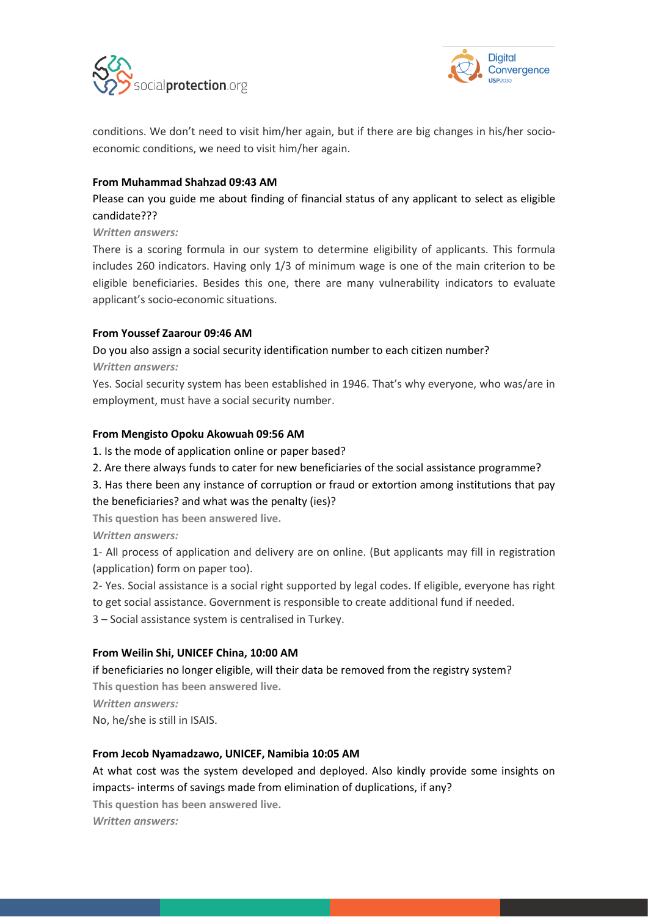



conditions. We don't need to visit him/her again, but if there are big changes in his/her socioeconomic conditions, we need to visit him/her again.

#### **From Muhammad Shahzad 09:43 AM**

Please can you guide me about finding of financial status of any applicant to select as eligible candidate???

*Written answers:*

There is a scoring formula in our system to determine eligibility of applicants. This formula includes 260 indicators. Having only 1/3 of minimum wage is one of the main criterion to be eligible beneficiaries. Besides this one, there are many vulnerability indicators to evaluate applicant's socio-economic situations.

#### **From Youssef Zaarour 09:46 AM**

## Do you also assign a social security identification number to each citizen number?

*Written answers:*

Yes. Social security system has been established in 1946. That's why everyone, who was/are in employment, must have a social security number.

#### **From Mengisto Opoku Akowuah 09:56 AM**

1. Is the mode of application online or paper based?

2. Are there always funds to cater for new beneficiaries of the social assistance programme?

3. Has there been any instance of corruption or fraud or extortion among institutions that pay the beneficiaries? and what was the penalty (ies)?

**This question has been answered live.**

*Written answers:*

1- All process of application and delivery are on online. (But applicants may fill in registration (application) form on paper too).

2- Yes. Social assistance is a social right supported by legal codes. If eligible, everyone has right

to get social assistance. Government is responsible to create additional fund if needed.

3 – Social assistance system is centralised in Turkey.

#### **From Weilin Shi, UNICEF China, 10:00 AM**

if beneficiaries no longer eligible, will their data be removed from the registry system? **This question has been answered live.** *Written answers:* No, he/she is still in ISAIS.

#### **From Jecob Nyamadzawo, UNICEF, Namibia 10:05 AM**

At what cost was the system developed and deployed. Also kindly provide some insights on impacts- interms of savings made from elimination of duplications, if any?

**This question has been answered live.**

*Written answers:*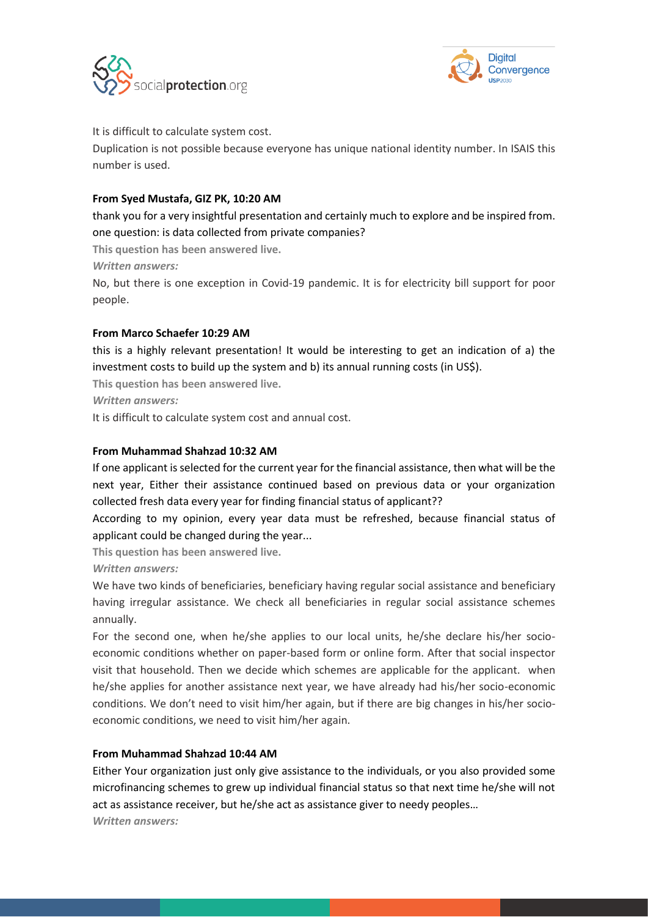



#### It is difficult to calculate system cost.

Duplication is not possible because everyone has unique national identity number. In ISAIS this number is used.

### **From Syed Mustafa, GIZ PK, 10:20 AM**

thank you for a very insightful presentation and certainly much to explore and be inspired from. one question: is data collected from private companies?

**This question has been answered live.**

*Written answers:*

No, but there is one exception in Covid-19 pandemic. It is for electricity bill support for poor people.

#### **From Marco Schaefer 10:29 AM**

this is a highly relevant presentation! It would be interesting to get an indication of a) the investment costs to build up the system and b) its annual running costs (in US\$).

**This question has been answered live.**

*Written answers:*

It is difficult to calculate system cost and annual cost.

### **From Muhammad Shahzad 10:32 AM**

If one applicant is selected for the current year for the financial assistance, then what will be the next year, Either their assistance continued based on previous data or your organization collected fresh data every year for finding financial status of applicant??

According to my opinion, every year data must be refreshed, because financial status of applicant could be changed during the year...

**This question has been answered live.**

*Written answers:*

We have two kinds of beneficiaries, beneficiary having regular social assistance and beneficiary having irregular assistance. We check all beneficiaries in regular social assistance schemes annually.

For the second one, when he/she applies to our local units, he/she declare his/her socioeconomic conditions whether on paper-based form or online form. After that social inspector visit that household. Then we decide which schemes are applicable for the applicant. when he/she applies for another assistance next year, we have already had his/her socio-economic conditions. We don't need to visit him/her again, but if there are big changes in his/her socioeconomic conditions, we need to visit him/her again.

#### **From Muhammad Shahzad 10:44 AM**

Either Your organization just only give assistance to the individuals, or you also provided some microfinancing schemes to grew up individual financial status so that next time he/she will not act as assistance receiver, but he/she act as assistance giver to needy peoples… *Written answers:*